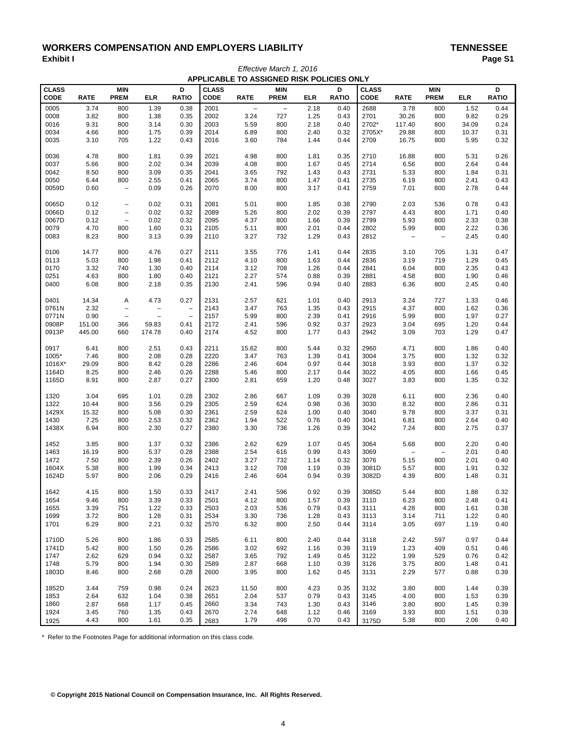# WORKERS COMPENSATION AND EMPLOYERS LIABILITY<br>Exhibit I Page S **Exhibit I Page S1** *Effective March 1, 2016*

| APPLICABLE TO ASSIGNED RISK POLICIES ONLY |              |                          |              |                          |              |                          |                   |              |              |              |                   |                   |              |              |
|-------------------------------------------|--------------|--------------------------|--------------|--------------------------|--------------|--------------------------|-------------------|--------------|--------------|--------------|-------------------|-------------------|--------------|--------------|
| <b>CLASS</b>                              |              | <b>MIN</b>               |              | D                        | <b>CLASS</b> |                          | <b>MIN</b>        |              | D            | <b>CLASS</b> |                   | <b>MIN</b>        |              | D            |
| <b>CODE</b>                               | <b>RATE</b>  | <b>PREM</b>              | <b>ELR</b>   | <b>RATIO</b>             | <b>CODE</b>  | <b>RATE</b>              | <b>PREM</b>       | <b>ELR</b>   | <b>RATIO</b> | <b>CODE</b>  | <b>RATE</b>       | <b>PREM</b>       | <b>ELR</b>   | <b>RATIO</b> |
|                                           |              |                          |              |                          |              |                          |                   |              |              |              |                   |                   |              |              |
| 0005                                      | 3.74         | 800                      | 1.39         | 0.38                     | 2001         | $\overline{\phantom{a}}$ | $\qquad \qquad -$ | 2.18         | 0.40         | 2688         | 3.78              | 800               | 1.52         | 0.44         |
| 0008                                      | 3.82         | 800                      | 1.38         | 0.35                     | 2002         | 3.24                     | 727               | 1.25         | 0.43         | 2701         | 30.26             | 800               | 9.82         | 0.29         |
| 0016                                      | 9.31         | 800                      | 3.14         | 0.30                     | 2003         | 5.59                     | 800               | 2.18         | 0.40         | 2702*        | 117.40            | 800               | 34.09        | 0.24         |
| 0034                                      | 4.66         | 800                      | 1.75         | 0.39                     | 2014         | 6.89                     | 800               | 2.40         | 0.32         | 2705X*       | 29.88             | 800               | 10.37        | 0.31         |
| 0035                                      | 3.10         | 705                      | 1.22         | 0.43                     | 2016         | 3.60                     | 784               | 1.44         | 0.44         | 2709         | 16.75             | 800               | 5.95         | 0.32         |
| 0036                                      | 4.78         | 800                      | 1.81         | 0.39                     | 2021         | 4.98                     | 800               | 1.81         | 0.35         | 2710         | 16.88             | 800               | 5.31         | 0.26         |
| 0037                                      | 5.66         | 800                      | 2.02         | 0.34                     | 2039         | 4.08                     | 800               | 1.67         | 0.45         | 2714         | 6.56              | 800               | 2.64         | 0.44         |
| 0042                                      | 8.50         | 800                      | 3.09         | 0.35                     | 2041         | 3.65                     | 792               | 1.43         | 0.43         | 2731         | 5.33              | 800               | 1.84         | 0.31         |
| 0050                                      | 6.44         | 800                      | 2.55         | 0.41                     | 2065         | 3.74                     | 800               | 1.47         | 0.41         | 2735         | 6.19              | 800               | 2.41         | 0.43         |
| 0059D                                     | 0.60         | $\overline{\phantom{a}}$ | 0.09         | 0.26                     | 2070         | 8.00                     | 800               | 3.17         | 0.41         | 2759         | 7.01              | 800               | 2.78         | 0.44         |
| 0065D                                     | 0.12         | $\qquad \qquad -$        | 0.02         | 0.31                     | 2081         | 5.01                     | 800               | 1.85         | 0.38         | 2790         | 2.03              | 536               | 0.78         | 0.43         |
| 0066D                                     | 0.12         | $\qquad \qquad -$        | 0.02         | 0.32                     | 2089         | 5.26                     | 800               | 2.02         | 0.39         | 2797         | 4.43              | 800               | 1.71         | 0.40         |
| 0067D                                     | 0.12         | $\overline{\phantom{a}}$ | 0.02         | 0.32                     | 2095         | 4.37                     | 800               | 1.66         | 0.39         | 2799         | 5.93              | 800               | 2.33         | 0.38         |
| 0079                                      | 4.70         | 800                      | 1.60         | 0.31                     | 2105         | 5.11                     | 800               | 2.01         | 0.44         | 2802         | 5.99              | 800               | 2.22         | 0.36         |
| 0083                                      | 8.23         | 800                      | 3.13         | 0.39                     | 2110         | 3.27                     | 732               | 1.29         | 0.43         | 2812         | $\qquad \qquad -$ | $\qquad \qquad -$ | 2.45         | 0.40         |
| 0106                                      | 14.77        | 800                      | 4.76         | 0.27                     | 2111         | 3.55                     | 776               | 1.41         | 0.44         | 2835         | 3.10              | 705               | 1.31         | 0.47         |
|                                           |              | 800                      |              |                          | 2112         |                          |                   |              | 0.44         | 2836         |                   | 719               |              | 0.45         |
| 0113                                      | 5.03         |                          | 1.98         | 0.41                     |              | 4.10                     | 800               | 1.63         |              |              | 3.19              |                   | 1.29         |              |
| 0170                                      | 3.32         | 740                      | 1.30         | 0.40                     | 2114         | 3.12                     | 708               | 1.26         | 0.44         | 2841         | 6.04              | 800               | 2.35         | 0.43         |
| 0251                                      | 4.63         | 800                      | 1.80         | 0.40                     | 2121         | 2.27                     | 574               | 0.88         | 0.39         | 2881         | 4.58              | 800               | 1.90         | 0.46         |
| 0400                                      | 6.08         | 800                      | 2.18         | 0.35                     | 2130         | 2.41                     | 596               | 0.94         | 0.40         | 2883         | 6.36              | 800               | 2.45         | 0.40         |
| 0401                                      | 14.34        | Α                        | 4.73         | 0.27                     | 2131         | 2.57                     | 621               | 1.01         | 0.40         | 2913         | 3.24              | 727               | 1.33         | 0.46         |
| 0761N                                     | 2.32         | $\qquad \qquad -$        | -            | $\overline{\phantom{0}}$ | 2143         | 3.47                     | 763               | 1.35         | 0.43         | 2915         | 4.37              | 800               | 1.62         | 0.36         |
| 0771N                                     | 0.90         | $\overline{\phantom{a}}$ | -            | $\overline{\phantom{0}}$ | 2157         | 5.99                     | 800               | 2.39         | 0.41         | 2916         | 5.99              | 800               | 1.97         | 0.27         |
| 0908P                                     | 151.00       | 366                      | 59.83        | 0.41                     | 2172         | 2.41                     | 596               | 0.92         | 0.37         | 2923         | 3.04              | 695               | 1.20         | 0.44         |
| 0913P                                     | 445.00       | 660                      | 174.78       | 0.40                     | 2174         | 4.52                     | 800               | 1.77         | 0.43         | 2942         | 3.09              | 703               | 1.29         | 0.47         |
| 0917                                      | 6.41         | 800                      | 2.51         | 0.43                     | 2211         | 15.62                    | 800               | 5.44         | 0.32         | 2960         | 4.71              | 800               | 1.86         | 0.40         |
| 1005*                                     | 7.46         | 800                      | 2.08         | 0.28                     | 2220         | 3.47                     | 763               | 1.39         | 0.41         | 3004         | 3.75              | 800               | 1.32         | 0.32         |
| 1016X*                                    | 29.09        | 800                      | 8.42         | 0.28                     | 2286         | 2.46                     | 604               | 0.97         | 0.44         | 3018         | 3.93              | 800               | 1.37         | 0.32         |
| 1164D                                     | 8.25         | 800                      | 2.46         | 0.26                     | 2288         | 5.46                     | 800               | 2.17         | 0.44         | 3022         | 4.05              | 800               | 1.66         | 0.45         |
| 1165D                                     | 8.91         | 800                      | 2.87         | 0.27                     | 2300         | 2.81                     | 659               | 1.20         | 0.48         | 3027         | 3.83              | 800               | 1.35         | 0.32         |
| 1320                                      | 3.04         | 695                      | 1.01         | 0.28                     | 2302         | 2.86                     | 667               | 1.09         | 0.39         | 3028         | 6.11              | 800               | 2.36         | 0.40         |
| 1322                                      | 10.44        | 800                      | 3.56         | 0.29                     | 2305         | 2.59                     | 624               | 0.98         | 0.36         | 3030         | 8.32              | 800               | 2.86         | 0.31         |
| 1429X                                     | 15.32        | 800                      | 5.08         | 0.30                     | 2361         | 2.59                     | 624               | 1.00         | 0.40         | 3040         | 9.78              | 800               | 3.37         | 0.31         |
|                                           |              |                          |              |                          |              |                          |                   |              |              |              |                   |                   |              |              |
| 1430                                      | 7.25         | 800                      | 2.53         | 0.32                     | 2362         | 1.94                     | 522               | 0.76         | 0.40         | 3041         | 6.81              | 800               | 2.64         | 0.40         |
| 1438X                                     | 6.94         | 800                      | 2.30         | 0.27                     | 2380         | 3.30                     | 736               | 1.26         | 0.39         | 3042         | 7.24              | 800               | 2.75         | 0.37         |
| 1452                                      | 3.85         | 800                      | 1.37         | 0.32                     | 2386         | 2.62                     | 629               | 1.07         | 0.45         | 3064         | 5.68              | 800               | 2.20         | 0.40         |
| 1463                                      | 16.19        | 800                      | 5.37         | 0.28                     | 2388         | 2.54                     | 616               | 0.99         | 0.43         | 3069         | $\qquad \qquad -$ | $\qquad \qquad -$ | 2.01         | 0.40         |
| 1472                                      | 7.50         | 800                      | 2.39         | 0.26                     | 2402         | 3.27                     | 732               | 1.14         | 0.32         | 3076         | 5.15              | 800               | 2.01         | 0.40         |
| 1604X                                     | 5.38         | 800                      | 1.99         | 0.34                     | 2413         | 3.12                     | 708               | 1.19         | 0.39         | 3081D        | 5.57              | 800               | 1.91         | 0.32         |
| 1624D                                     | 5.97         | 800                      | 2.06         | 0.29                     | 2416         | 2.46                     | 604               | 0.94         | 0.39         | 3082D        | 4.39              | 800               | 1.48         | 0.31         |
| 1642                                      | 4.15         | 800                      | 1.50         | 0.33                     | 2417         | 2.41                     | 596               | 0.92         | 0.39         | 3085D        | 5.44              | 800               | 1.88         | 0.32         |
| 1654                                      | 9.46         | 800                      | 3.39         | 0.33                     | 2501         | 4.12                     | 800               | 1.57         | 0.39         | 3110         | 6.23              | 800               | 2.48         | 0.41         |
| 1655                                      | 3.39         | 751                      | 1.22         | 0.33                     | 2503         | 2.03                     | 536               | 0.79         | 0.43         | 3111         | 4.28              | 800               | 1.61         | 0.38         |
| 1699                                      | 3.72         | 800                      | 1.28         | 0.31                     | 2534         | 3.30                     | 736               | 1.28         | 0.43         | 3113         | 3.14              | 711               | 1.22         | 0.40         |
| 1701                                      | 6.29         | 800                      | 2.21         | 0.32                     | 2570         | 6.32                     | 800               | 2.50         | 0.44         | 3114         | 3.05              | 697               | 1.19         | 0.40         |
| 1710D                                     | 5.26         | 800                      | 1.86         | 0.33                     | 2585         | 6.11                     | 800               | 2.40         | 0.44         | 3118         | 2.42              | 597               | 0.97         | 0.44         |
| 1741D                                     | 5.42         | 800                      | 1.50         | 0.26                     | 2586         | 3.02                     | 692               | 1.16         | 0.39         | 3119         | 1.23              | 409               | 0.51         | 0.46         |
| 1747                                      | 2.62         | 629                      | 0.94         | 0.32                     | 2587         | 3.65                     | 792               | 1.49         | 0.45         | 3122         | 1.99              | 529               | 0.76         | 0.42         |
|                                           |              |                          |              |                          |              |                          |                   |              |              |              |                   |                   |              |              |
| 1748<br>1803D                             | 5.79<br>8.46 | 800<br>800               | 1.94<br>2.68 | 0.30<br>0.28             | 2589<br>2600 | 2.87<br>3.95             | 668<br>800        | 1.10<br>1.62 | 0.39<br>0.45 | 3126<br>3131 | 3.75<br>2.29      | 800<br>577        | 1.48<br>0.88 | 0.41<br>0.39 |
|                                           |              |                          |              |                          |              |                          |                   |              |              |              |                   |                   |              |              |
| 1852D                                     | 3.44         | 759                      | 0.98         | 0.24                     | 2623         | 11.50                    | 800               | 4.23         | 0.35         | 3132         | 3.80              | 800               | 1.44         | 0.39         |
| 1853                                      | 2.64         | 632                      | 1.04         | 0.38                     | 2651         | 2.04                     | 537               | 0.79         | 0.43         | 3145         | 4.00              | 800               | 1.53         | 0.39         |
| 1860                                      | 2.87         | 668                      | 1.17         | 0.45                     | 2660         | 3.34                     | 743               | 1.30         | 0.43         | 3146         | 3.80              | 800               | 1.45         | 0.39         |
| 1924                                      | 3.45         | 760                      | 1.35         | 0.43                     | 2670         | 2.74                     | 648               | 1.12         | 0.46         | 3169         | 3.93              | 800               | 1.51         | 0.39         |
| 1925                                      | 4.43         | 800                      | 1.61         | 0.35                     | 2683         | 1.79                     | 498               | 0.70         | 0.43         | 3175D        | 5.38              | 800               | 2.06         | 0.40         |

\* Refer to the Footnotes Page for additional information on this class code.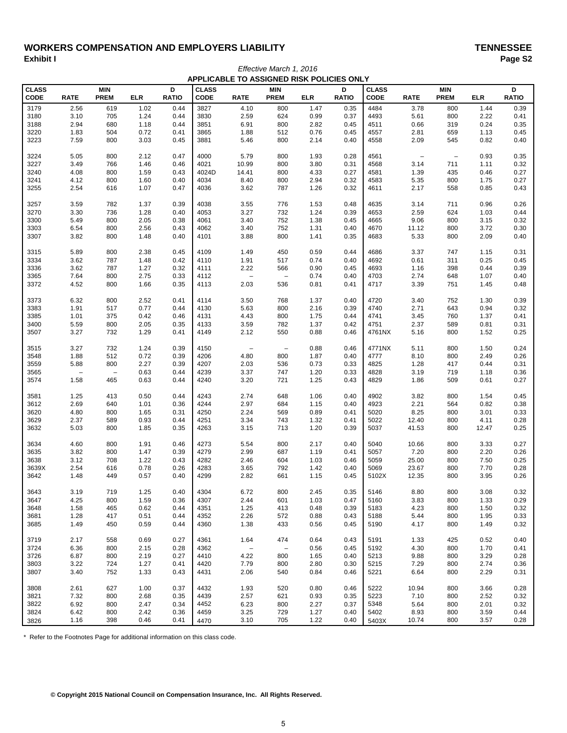# WORKERS COMPENSATION AND EMPLOYERS LIABILITY<br>Exhibit I Paqe S2 **Exhibit I Page S2** *Effective March 1, 2016*

| APPLICABLE TO ASSIGNED RISK POLICIES ONLY |                          |                          |            |              |              |                          |                          |            |              |              |                          |                          |            |              |
|-------------------------------------------|--------------------------|--------------------------|------------|--------------|--------------|--------------------------|--------------------------|------------|--------------|--------------|--------------------------|--------------------------|------------|--------------|
| CLASS                                     |                          | <b>MIN</b>               |            | D            | <b>CLASS</b> |                          | <b>MIN</b>               |            | D            | <b>CLASS</b> |                          | <b>MIN</b>               |            | D            |
| CODE                                      | <b>RATE</b>              | <b>PREM</b>              | <b>ELR</b> | <b>RATIO</b> | CODE         | <b>RATE</b>              | <b>PREM</b>              | <b>ELR</b> | <b>RATIO</b> | CODE         | <b>RATE</b>              | <b>PREM</b>              | <b>ELR</b> | <b>RATIO</b> |
|                                           |                          |                          |            |              |              |                          |                          |            |              |              |                          |                          |            |              |
| 3179                                      | 2.56                     | 619                      | 1.02       | 0.44         | 3827         | 4.10                     | 800                      | 1.47       | 0.35         | 4484         | 3.78                     | 800                      | 1.44       | 0.39         |
| 3180                                      | 3.10                     | 705                      | 1.24       | 0.44         | 3830         | 2.59                     | 624                      | 0.99       | 0.37         | 4493         | 5.61                     | 800                      | 2.22       | 0.41         |
| 3188                                      | 2.94                     | 680                      | 1.18       | 0.44         | 3851         | 6.91                     | 800                      | 2.82       | 0.45         | 4511         | 0.66                     | 319                      | 0.24       | 0.35         |
| 3220                                      | 1.83                     | 504                      | 0.72       | 0.41         | 3865         | 1.88                     | 512                      | 0.76       | 0.45         | 4557         | 2.81                     | 659                      | 1.13       | 0.45         |
| 3223                                      | 7.59                     | 800                      | 3.03       | 0.45         | 3881         | 5.46                     | 800                      | 2.14       | 0.40         | 4558         | 2.09                     | 545                      | 0.82       | 0.40         |
| 3224                                      | 5.05                     | 800                      | 2.12       | 0.47         | 4000         | 5.79                     | 800                      | 1.93       | 0.28         | 4561         | $\overline{\phantom{a}}$ | $\overline{\phantom{a}}$ | 0.93       | 0.35         |
| 3227                                      | 3.49                     | 766                      | 1.46       | 0.46         | 4021         | 10.99                    | 800                      | 3.80       | 0.31         | 4568         | 3.14                     | 711                      | 1.11       | 0.32         |
| 3240                                      | 4.08                     | 800                      | 1.59       | 0.43         | 4024D        | 14.41                    | 800                      | 4.33       | 0.27         | 4581         | 1.39                     | 435                      | 0.46       | 0.27         |
|                                           |                          |                          |            | 0.40         | 4034         | 8.40                     |                          | 2.94       |              |              |                          | 800                      |            | 0.27         |
| 3241                                      | 4.12                     | 800                      | 1.60       |              | 4036         | 3.62                     | 800                      |            | 0.32         | 4583         | 5.35                     |                          | 1.75       |              |
| 3255                                      | 2.54                     | 616                      | 1.07       | 0.47         |              |                          | 787                      | 1.26       | 0.32         | 4611         | 2.17                     | 558                      | 0.85       | 0.43         |
| 3257                                      | 3.59                     | 782                      | 1.37       | 0.39         | 4038         | 3.55                     | 776                      | 1.53       | 0.48         | 4635         | 3.14                     | 711                      | 0.96       | 0.26         |
| 3270                                      | 3.30                     | 736                      | 1.28       | 0.40         | 4053         | 3.27                     | 732                      | 1.24       | 0.39         | 4653         | 2.59                     | 624                      | 1.03       | 0.44         |
| 3300                                      | 5.49                     | 800                      | 2.05       | 0.38         | 4061         | 3.40                     | 752                      | 1.38       | 0.45         | 4665         | 9.06                     | 800                      | 3.15       | 0.32         |
| 3303                                      | 6.54                     | 800                      | 2.56       | 0.43         | 4062         | 3.40                     | 752                      | 1.31       | 0.40         | 4670         | 11.12                    | 800                      | 3.72       | 0.30         |
| 3307                                      | 3.82                     | 800                      | 1.48       | 0.40         | 4101         | 3.88                     | 800                      | 1.41       | 0.35         | 4683         | 5.33                     | 800                      | 2.09       | 0.40         |
| 3315                                      | 5.89                     | 800                      | 2.38       | 0.45         | 4109         | 1.49                     | 450                      | 0.59       | 0.44         | 4686         | 3.37                     | 747                      | 1.15       | 0.31         |
| 3334                                      | 3.62                     | 787                      | 1.48       | 0.42         | 4110         | 1.91                     | 517                      | 0.74       | 0.40         | 4692         | 0.61                     | 311                      | 0.25       | 0.45         |
| 3336                                      | 3.62                     | 787                      | 1.27       | 0.32         | 4111         | 2.22                     | 566                      | 0.90       | 0.45         | 4693         | 1.16                     | 398                      | 0.44       | 0.39         |
|                                           |                          |                          |            |              |              | $\overline{\phantom{a}}$ | $\overline{\phantom{a}}$ |            |              |              |                          |                          |            |              |
| 3365                                      | 7.64                     | 800                      | 2.75       | 0.33         | 4112         |                          |                          | 0.74       | 0.40         | 4703         | 2.74                     | 648                      | 1.07       | 0.40         |
| 3372                                      | 4.52                     | 800                      | 1.66       | 0.35         | 4113         | 2.03                     | 536                      | 0.81       | 0.41         | 4717         | 3.39                     | 751                      | 1.45       | 0.48         |
| 3373                                      | 6.32                     | 800                      | 2.52       | 0.41         | 4114         | 3.50                     | 768                      | 1.37       | 0.40         | 4720         | 3.40                     | 752                      | 1.30       | 0.39         |
| 3383                                      | 1.91                     | 517                      | 0.77       | 0.44         | 4130         | 5.63                     | 800                      | 2.16       | 0.39         | 4740         | 2.71                     | 643                      | 0.94       | 0.32         |
| 3385                                      | 1.01                     | 375                      | 0.42       | 0.46         | 4131         | 4.43                     | 800                      | 1.75       | 0.44         | 4741         | 3.45                     | 760                      | 1.37       | 0.41         |
| 3400                                      | 5.59                     | 800                      | 2.05       | 0.35         | 4133         | 3.59                     | 782                      | 1.37       | 0.42         | 4751         | 2.37                     | 589                      | 0.81       | 0.31         |
| 3507                                      | 3.27                     | 732                      | 1.29       | 0.41         | 4149         | 2.12                     | 550                      | 0.88       | 0.46         | 4761NX       | 5.16                     | 800                      | 1.52       | 0.25         |
| 3515                                      | 3.27                     | 732                      | 1.24       | 0.39         | 4150         | $\overline{\phantom{a}}$ | $\overline{\phantom{a}}$ | 0.88       | 0.46         | 4771NX       | 5.11                     | 800                      | 1.50       | 0.24         |
| 3548                                      | 1.88                     | 512                      | 0.72       | 0.39         | 4206         | 4.80                     | 800                      | 1.87       | 0.40         | 4777         | 8.10                     | 800                      | 2.49       | 0.26         |
|                                           |                          | 800                      |            |              | 4207         |                          |                          | 0.73       |              | 4825         |                          |                          |            |              |
| 3559                                      | 5.88                     |                          | 2.27       | 0.39         |              | 2.03                     | 536                      |            | 0.33         |              | 1.28                     | 417                      | 0.44       | 0.31         |
| 3565                                      | $\overline{\phantom{0}}$ | $\overline{\phantom{a}}$ | 0.63       | 0.44         | 4239         | 3.37                     | 747                      | 1.20       | 0.33         | 4828         | 3.19                     | 719                      | 1.18       | 0.36         |
| 3574                                      | 1.58                     | 465                      | 0.63       | 0.44         | 4240         | 3.20                     | 721                      | 1.25       | 0.43         | 4829         | 1.86                     | 509                      | 0.61       | 0.27         |
| 3581                                      | 1.25                     | 413                      | 0.50       | 0.44         | 4243         | 2.74                     | 648                      | 1.06       | 0.40         | 4902         | 3.82                     | 800                      | 1.54       | 0.45         |
| 3612                                      | 2.69                     | 640                      | 1.01       | 0.36         | 4244         | 2.97                     | 684                      | 1.15       | 0.40         | 4923         | 2.21                     | 564                      | 0.82       | 0.38         |
| 3620                                      | 4.80                     | 800                      | 1.65       | 0.31         | 4250         | 2.24                     | 569                      | 0.89       | 0.41         | 5020         | 8.25                     | 800                      | 3.01       | 0.33         |
| 3629                                      | 2.37                     | 589                      | 0.93       | 0.44         | 4251         | 3.34                     | 743                      | 1.32       | 0.41         | 5022         | 12.40                    | 800                      | 4.11       | 0.28         |
| 3632                                      | 5.03                     | 800                      | 1.85       | 0.35         | 4263         | 3.15                     | 713                      | 1.20       | 0.39         | 5037         | 41.53                    | 800                      | 12.47      | 0.25         |
|                                           |                          |                          |            |              |              |                          |                          |            |              |              |                          |                          |            |              |
| 3634                                      | 4.60                     | 800                      | 1.91       | 0.46         | 4273         | 5.54                     | 800                      | 2.17       | 0.40         | 5040         | 10.66                    | 800                      | 3.33       | 0.27         |
| 3635                                      | 3.82                     | 800                      | 1.47       | 0.39         | 4279         | 2.99                     | 687                      | 1.19       | 0.41         | 5057         | 7.20                     | 800                      | 2.20       | 0.26         |
| 3638                                      | 3.12                     | 708                      | 1.22       | 0.43         | 4282         | 2.46                     | 604                      | 1.03       | 0.46         | 5059         | 25.00                    | 800                      | 7.50       | 0.25         |
| 3639X                                     | 2.54                     | 616                      | 0.78       | 0.26         | 4283         | 3.65                     | 792                      | 1.42       | 0.40         | 5069         | 23.67                    | 800                      | 7.70       | 0.28         |
| 3642                                      | 1.48                     | 449                      | 0.57       | 0.40         | 4299         | 2.82                     | 661                      | 1.15       | 0.45         | 5102X        | 12.35                    | 800                      | 3.95       | 0.26         |
| 3643                                      | 3.19                     | 719                      | 1.25       | 0.40         | 4304         | 6.72                     | 800                      | 2.45       | 0.35         | 5146         | 8.80                     | 800                      | 3.08       | 0.32         |
| 3647                                      | 4.25                     | 800                      | 1.59       | 0.36         | 4307         | 2.44                     | 601                      | 1.03       | 0.47         | 5160         | 3.83                     | 800                      | 1.33       | 0.29         |
| 3648                                      | 1.58                     | 465                      | 0.62       | 0.44         | 4351         | 1.25                     | 413                      | 0.48       | 0.39         | 5183         | 4.23                     | 800                      | 1.50       | 0.32         |
| 3681                                      | 1.28                     | 417                      | 0.51       | 0.44         | 4352         | 2.26                     | 572                      | 0.88       | 0.43         | 5188         | 5.44                     | 800                      | 1.95       | 0.33         |
| 3685                                      | 1.49                     | 450                      | 0.59       | 0.44         | 4360         | 1.38                     | 433                      | 0.56       | 0.45         | 5190         | 4.17                     | 800                      | 1.49       | 0.32         |
|                                           |                          |                          |            |              |              |                          |                          |            |              |              |                          |                          |            |              |
| 3719                                      | 2.17                     | 558                      | 0.69       | 0.27         | 4361         | 1.64                     | 474                      | 0.64       | 0.43         | 5191         | 1.33                     | 425                      | 0.52       | 0.40         |
| 3724                                      | 6.36                     | 800                      | 2.15       | 0.28         | 4362         | $\qquad \qquad -$        | $\overline{\phantom{a}}$ | 0.56       | 0.45         | 5192         | 4.30                     | 800                      | 1.70       | 0.41         |
| 3726                                      | 6.87                     | 800                      | 2.19       | 0.27         | 4410         | 4.22                     | 800                      | 1.65       | 0.40         | 5213         | 9.88                     | 800                      | 3.29       | 0.28         |
| 3803                                      | 3.22                     | 724                      | 1.27       | 0.41         | 4420         | 7.79                     | 800                      | 2.80       | 0.30         | 5215         | 7.29                     | 800                      | 2.74       | 0.36         |
| 3807                                      | 3.40                     | 752                      | 1.33       | 0.43         | 4431         | 2.06                     | 540                      | 0.84       | 0.46         | 5221         | 6.64                     | 800                      | 2.29       | 0.31         |
| 3808                                      | 2.61                     | 627                      | 1.00       | 0.37         | 4432         | 1.93                     | 520                      | 0.80       | 0.46         | 5222         | 10.94                    | 800                      | 3.66       | 0.28         |
| 3821                                      | 7.32                     | 800                      | 2.68       | 0.35         | 4439         | 2.57                     | 621                      | 0.93       | 0.35         | 5223         | 7.10                     | 800                      | 2.52       | 0.32         |
| 3822                                      | 6.92                     | 800                      | 2.47       | 0.34         | 4452         | 6.23                     | 800                      | 2.27       | 0.37         | 5348         | 5.64                     | 800                      | 2.01       | 0.32         |
| 3824                                      | 6.42                     | 800                      | 2.42       | 0.36         | 4459         | 3.25                     | 729                      | 1.27       | 0.40         | 5402         | 8.93                     | 800                      | 3.59       | 0.44         |
| 3826                                      | 1.16                     | 398                      | 0.46       | 0.41         | 4470         | 3.10                     | 705                      | 1.22       | 0.40         | 5403X        | 10.74                    | 800                      | 3.57       | 0.28         |

\* Refer to the Footnotes Page for additional information on this class code.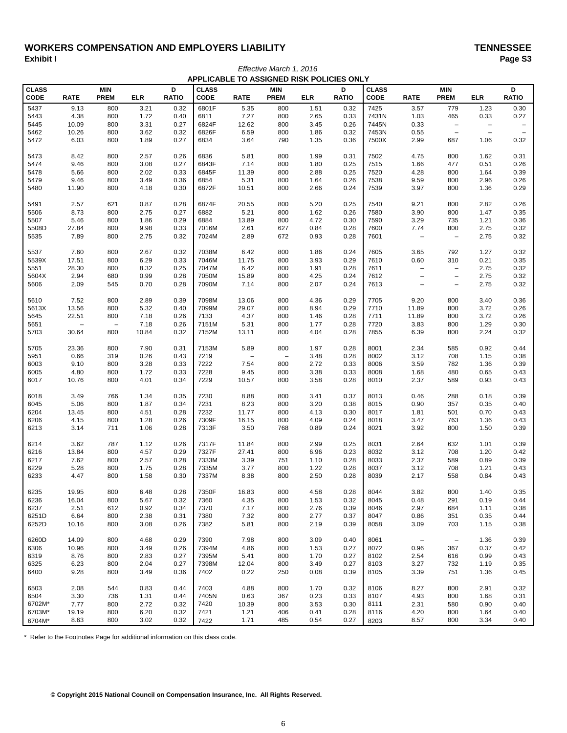# WORKERS COMPENSATION AND EMPLOYERS LIABILITY<br>Exhibit I Paqe S3 **Exhibit I Page S3**

| APPLICABLE TO ASSIGNED RISK POLICIES ONLY |                   |                           |              |                   |                      |                   |                           |              |                   |                             |                           |                                 |                   |                          |
|-------------------------------------------|-------------------|---------------------------|--------------|-------------------|----------------------|-------------------|---------------------------|--------------|-------------------|-----------------------------|---------------------------|---------------------------------|-------------------|--------------------------|
| <b>CLASS</b><br><b>CODE</b>               | <b>RATE</b>       | <b>MIN</b><br><b>PREM</b> | <b>ELR</b>   | D<br><b>RATIO</b> | <b>CLASS</b><br>CODE | <b>RATE</b>       | <b>MIN</b><br><b>PREM</b> | <b>ELR</b>   | D<br><b>RATIO</b> | <b>CLASS</b><br><b>CODE</b> | <b>RATE</b>               | <b>MIN</b><br><b>PREM</b>       | <b>ELR</b>        | D<br><b>RATIO</b>        |
| 5437                                      | 9.13              | 800                       | 3.21         | 0.32              | 6801F                | 5.35              | 800                       | 1.51         | 0.32              | 7425                        | 3.57                      | 779                             | 1.23              | 0.30                     |
| 5443                                      | 4.38              | 800                       | 1.72         | 0.40              | 6811                 | 7.27              | 800                       | 2.65         | 0.33              | 7431N                       | 1.03                      | 465                             | 0.33              | 0.27                     |
| 5445                                      | 10.09             | 800                       | 3.31         | 0.27              | 6824F                | 12.62             | 800                       | 3.45         | 0.26              | 7445N                       | 0.33                      | $\overline{\phantom{m}}$        | $\qquad \qquad -$ | $\overline{\phantom{a}}$ |
| 5462                                      | 10.26             | 800                       | 3.62         | 0.32              | 6826F                | 6.59              | 800                       | 1.86         | 0.32              | 7453N                       | 0.55                      | $\qquad \qquad -$               | $\qquad \qquad -$ | $\overline{\phantom{a}}$ |
| 5472                                      | 6.03              | 800                       | 1.89         | 0.27              | 6834                 | 3.64              | 790                       | 1.35         | 0.36              | 7500X                       | 2.99                      | 687                             | 1.06              | 0.32                     |
| 5473                                      | 8.42              | 800                       | 2.57         | 0.26              | 6836                 | 5.81              | 800                       | 1.99         | 0.31              | 7502                        | 4.75                      | 800                             | 1.62              | 0.31                     |
| 5474                                      | 9.46              | 800                       | 3.08         | 0.27              | 6843F                | 7.14              | 800                       | 1.80         | 0.25              | 7515                        | 1.66                      | 477                             | 0.51              | 0.26                     |
| 5478                                      | 5.66              | 800                       | 2.02         | 0.33              | 6845F                | 11.39             | 800                       | 2.88         | 0.25              | 7520                        | 4.28                      | 800                             | 1.64              | 0.39                     |
| 5479                                      | 9.46              | 800                       | 3.49         | 0.36              | 6854                 | 5.31              | 800                       | 1.64         | 0.26              | 7538                        | 9.59                      | 800                             | 2.96              | 0.26                     |
| 5480                                      | 11.90             | 800                       | 4.18         | 0.30              | 6872F                | 10.51             | 800                       | 2.66         | 0.24              | 7539                        | 3.97                      | 800                             | 1.36              | 0.29                     |
| 5491                                      | 2.57              | 621                       | 0.87         | 0.28              | 6874F                | 20.55             | 800                       | 5.20         | 0.25              | 7540                        | 9.21                      | 800                             | 2.82              | 0.26                     |
| 5506                                      | 8.73              | 800                       | 2.75         | 0.27              | 6882                 | 5.21              | 800                       | 1.62         | 0.26              | 7580                        | 3.90                      | 800                             | 1.47              | 0.35                     |
| 5507                                      | 5.46              | 800                       | 1.86         | 0.29              | 6884                 | 13.89             | 800                       | 4.72         | 0.30              | 7590                        | 3.29                      | 735                             | 1.21              | 0.36                     |
| 5508D<br>5535                             | 27.84<br>7.89     | 800<br>800                | 9.98<br>2.75 | 0.33<br>0.32      | 7016M                | 2.61<br>2.89      | 627<br>672                | 0.84<br>0.93 | 0.28              | 7600<br>7601                | 7.74<br>$\qquad \qquad -$ | 800<br>$\overline{\phantom{m}}$ | 2.75<br>2.75      | 0.32<br>0.32             |
|                                           |                   |                           |              |                   | 7024M                |                   |                           |              | 0.28              |                             |                           |                                 |                   |                          |
| 5537                                      | 7.60              | 800                       | 2.67         | 0.32              | 7038M                | 6.42              | 800                       | 1.86         | 0.24              | 7605                        | 3.65                      | 792                             | 1.27              | 0.32                     |
| 5539X                                     | 17.51             | 800                       | 6.29         | 0.33              | 7046M                | 11.75             | 800                       | 3.93         | 0.29              | 7610                        | 0.60                      | 310                             | 0.21              | 0.35                     |
| 5551                                      | 28.30             | 800                       | 8.32         | 0.25              | 7047M                | 6.42              | 800                       | 1.91         | 0.28              | 7611                        | $\qquad \qquad -$         | $\overline{\phantom{m}}$        | 2.75              | 0.32                     |
| 5604X                                     | 2.94              | 680                       | 0.99         | 0.28              | 7050M                | 15.89             | 800                       | 4.25         | 0.24              | 7612                        | $\qquad \qquad -$         | $\overline{\phantom{m}}$        | 2.75              | 0.32                     |
| 5606                                      | 2.09              | 545                       | 0.70         | 0.28              | 7090M                | 7.14              | 800                       | 2.07         | 0.24              | 7613                        | $\qquad \qquad -$         | $\qquad \qquad -$               | 2.75              | 0.32                     |
| 5610                                      | 7.52              | 800                       | 2.89         | 0.39              | 7098M                | 13.06             | 800                       | 4.36         | 0.29              | 7705                        | 9.20                      | 800                             | 3.40              | 0.36                     |
| 5613X                                     | 13.56             | 800                       | 5.32         | 0.40              | 7099M                | 29.07             | 800                       | 8.94         | 0.29              | 7710                        | 11.89                     | 800                             | 3.72              | 0.26                     |
| 5645                                      | 22.51             | 800                       | 7.18         | 0.26              | 7133                 | 4.37              | 800                       | 1.46         | 0.28              | 7711                        | 11.89                     | 800                             | 3.72              | 0.26                     |
| 5651                                      | $\qquad \qquad -$ | $\qquad \qquad -$         | 7.18         | 0.26              | 7151M                | 5.31              | 800                       | 1.77         | 0.28              | 7720                        | 3.83                      | 800                             | 1.29              | 0.30                     |
| 5703                                      | 30.64             | 800                       | 10.84        | 0.32              | 7152M                | 13.11             | 800                       | 4.04         | 0.28              | 7855                        | 6.39                      | 800                             | 2.24              | 0.32                     |
| 5705                                      | 23.36             | 800                       | 7.90         | 0.31              | 7153M                | 5.89              | 800                       | 1.97         | 0.28              | 8001                        | 2.34                      | 585                             | 0.92              | 0.44                     |
| 5951                                      | 0.66              | 319                       | 0.26         | 0.43              | 7219                 | $\qquad \qquad -$ | $\overline{\phantom{a}}$  | 3.48         | 0.28              | 8002                        | 3.12                      | 708                             | 1.15              | 0.38                     |
| 6003                                      | 9.10              | 800                       | 3.28         | 0.33              | 7222                 | 7.54              | 800                       | 2.72         | 0.33              | 8006                        | 3.59                      | 782                             | 1.36              | 0.39                     |
| 6005                                      | 4.80              | 800                       | 1.72         | 0.33              | 7228                 | 9.45              | 800                       | 3.38         | 0.33              | 8008                        | 1.68                      | 480                             | 0.65              | 0.43                     |
| 6017                                      | 10.76             | 800                       | 4.01         | 0.34              | 7229                 | 10.57             | 800                       | 3.58         | 0.28              | 8010                        | 2.37                      | 589                             | 0.93              | 0.43                     |
| 6018                                      | 3.49              | 766                       | 1.34         | 0.35              | 7230                 | 8.88              | 800                       | 3.41         | 0.37              | 8013                        | 0.46                      | 288                             | 0.18              | 0.39                     |
| 6045                                      | 5.06              | 800                       | 1.87         | 0.34              | 7231                 | 8.23              | 800                       | 3.20         | 0.38              | 8015                        | 0.90                      | 357                             | 0.35              | 0.40                     |
| 6204                                      | 13.45             | 800                       | 4.51         | 0.28              | 7232                 | 11.77             | 800                       | 4.13         | 0.30              | 8017                        | 1.81                      | 501                             | 0.70              | 0.43                     |
| 6206                                      | 4.15              | 800                       | 1.28         | 0.26              | 7309F                | 16.15             | 800                       | 4.09         | 0.24              | 8018                        | 3.47                      | 763                             | 1.36              | 0.43                     |
| 6213                                      | 3.14              | 711                       | 1.06         | 0.28              | 7313F                | 3.50              | 768                       | 0.89         | 0.24              | 8021                        | 3.92                      | 800                             | 1.50              | 0.39                     |
| 6214                                      | 3.62              | 787                       | 1.12         | 0.26              | 7317F                | 11.84             | 800                       | 2.99         | 0.25              | 8031                        | 2.64                      | 632                             | 1.01              | 0.39                     |
| 6216                                      | 13.84             | 800                       | 4.57         | 0.29              | 7327F                | 27.41             | 800                       | 6.96         | 0.23              | 8032                        | 3.12                      | 708                             | 1.20              | 0.42                     |
| 6217                                      | 7.62              | 800                       | 2.57         | 0.28              | 7333M                | 3.39              | 751                       | 1.10         | 0.28              | 8033                        | 2.37                      | 589                             | 0.89              | 0.39                     |
| 6229                                      | 5.28              | 800                       | 1.75         | 0.28              | 7335M                | 3.77              | 800                       | 1.22         | 0.28              | 8037                        | 3.12                      | 708                             | 1.21              | 0.43                     |
| 6233                                      | 4.47              | 800                       | 1.58         | 0.30              | 7337M                | 8.38              | 800                       | 2.50         | 0.28              | 8039                        | 2.17                      | 558                             | 0.84              | 0.43                     |
| 6235                                      | 19.95             | 800                       | 6.48         | 0.28              | 7350F                | 16.83             | 800                       | 4.58         | 0.28              | 8044                        | 3.82                      | 800                             | 1.40              | 0.35                     |
| 6236                                      | 16.04             | 800                       | 5.67         | 0.32              | 7360                 | 4.35              | 800                       | 1.53         | 0.32              | 8045                        | 0.48                      | 291                             | 0.19              | 0.44                     |
| 6237                                      | 2.51              | 612                       | 0.92         | 0.34              | 7370                 | 7.17              | 800                       | 2.76         | 0.39              | 8046                        | 2.97                      | 684                             | 1.11              | 0.38                     |
| 6251D                                     | 6.64              | 800                       | 2.38         | 0.31              | 7380                 | 7.32              | 800                       | 2.77         | 0.37              | 8047                        | 0.86                      | 351                             | 0.35              | 0.44                     |
| 6252D                                     | 10.16             | 800                       | 3.08         | 0.26              | 7382                 | 5.81              | 800                       | 2.19         | 0.39              | 8058                        | 3.09                      | 703                             | 1.15              | 0.38                     |
| 6260D                                     | 14.09             | 800                       | 4.68         | 0.29              | 7390                 | 7.98              | 800                       | 3.09         | 0.40              | 8061                        | $\overline{\phantom{a}}$  | $\overline{\phantom{a}}$        | 1.36              | 0.39                     |
| 6306                                      | 10.96             | 800                       | 3.49         | 0.26              | 7394M                | 4.86              | 800                       | 1.53         | 0.27              | 8072                        | 0.96                      | 367                             | 0.37              | 0.42                     |
| 6319                                      | 8.76              | 800                       | 2.83         | 0.27              | 7395M                | 5.41              | 800                       | 1.70         | 0.27              | 8102                        | 2.54                      | 616                             | 0.99              | 0.43                     |
| 6325                                      | 6.23              | 800                       | 2.04         | 0.27              | 7398M                | 12.04             | 800                       | 3.49         | 0.27              | 8103                        | 3.27                      | 732                             | 1.19              | 0.35                     |
| 6400                                      | 9.28              | 800                       | 3.49         | 0.36              | 7402                 | 0.22              | 250                       | 0.08         | 0.39              | 8105                        | 3.39                      | 751                             | 1.36              | 0.45                     |
| 6503                                      | 2.08              | 544                       | 0.83         | 0.44              | 7403                 | 4.88              | 800                       | 1.70         | 0.32              | 8106                        | 8.27                      | 800                             | 2.91              | 0.32                     |
| 6504                                      | 3.30              | 736                       | 1.31         | 0.44              | 7405N                | 0.63              | 367                       | 0.23         | 0.33              | 8107                        | 4.93                      | 800                             | 1.68              | 0.31                     |
| 6702M*                                    | 7.77              | 800                       | 2.72         | 0.32              | 7420                 | 10.39             | 800                       | 3.53         | 0.30              | 8111                        | 2.31                      | 580                             | 0.90              | 0.40                     |
| 6703M*                                    | 19.19             | 800                       | 6.20         | 0.32              | 7421                 | 1.21              | 406                       | 0.41         | 0.28              | 8116                        | 4.20                      | 800                             | 1.64              | 0.40                     |
| 6704M*                                    | 8.63              | 800                       | 3.02         | 0.32              | 7422                 | 1.71              | 485                       | 0.54         | 0.27              | 8203                        | 8.57                      | 800                             | 3.34              | 0.40                     |

*Effective March 1, 2016*

\* Refer to the Footnotes Page for additional information on this class code.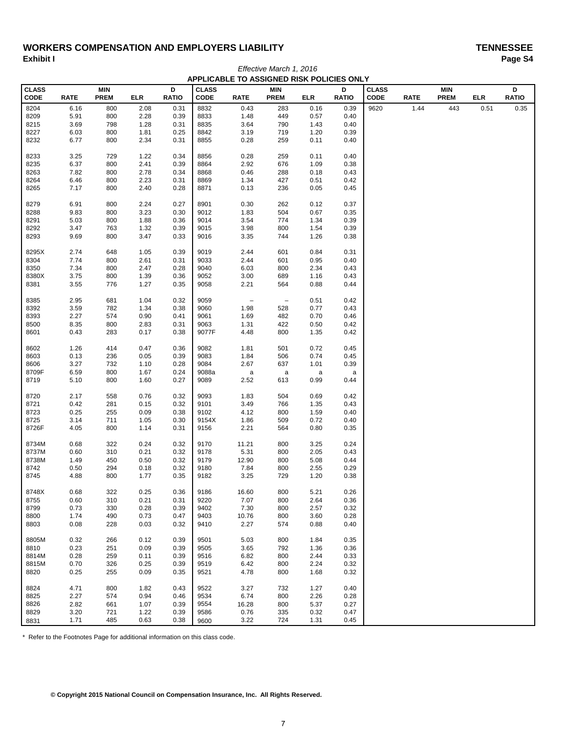# WORKERS COMPENSATION AND EMPLOYERS LIABILITY<br>Exhibit I Paqe S4 **Exhibit I Page S4** *Effective March 1, 2016*

| APPLICABLE TO ASSIGNED RISK POLICIES ONLY |             |                           |            |                   |                             |                          |                           |            |                   |                             |             |                           |            |                   |
|-------------------------------------------|-------------|---------------------------|------------|-------------------|-----------------------------|--------------------------|---------------------------|------------|-------------------|-----------------------------|-------------|---------------------------|------------|-------------------|
| <b>CLASS</b><br>CODE                      | <b>RATE</b> | <b>MIN</b><br><b>PREM</b> | <b>ELR</b> | D<br><b>RATIO</b> | <b>CLASS</b><br><b>CODE</b> | <b>RATE</b>              | <b>MIN</b><br><b>PREM</b> | <b>ELR</b> | D<br><b>RATIO</b> | <b>CLASS</b><br><b>CODE</b> | <b>RATE</b> | <b>MIN</b><br><b>PREM</b> | <b>ELR</b> | D<br><b>RATIO</b> |
| 8204                                      | 6.16        | 800                       | 2.08       | 0.31              | 8832                        | 0.43                     | 283                       | 0.16       | 0.39              | 9620                        | 1.44        | 443                       | 0.51       | 0.35              |
| 8209                                      | 5.91        | 800                       | 2.28       | 0.39              | 8833                        | 1.48                     | 449                       | 0.57       | 0.40              |                             |             |                           |            |                   |
| 8215                                      | 3.69        | 798                       | 1.28       | 0.31              | 8835                        | 3.64                     | 790                       | 1.43       | 0.40              |                             |             |                           |            |                   |
| 8227                                      | 6.03        | 800                       | 1.81       | 0.25              | 8842                        | 3.19                     | 719                       | 1.20       | 0.39              |                             |             |                           |            |                   |
| 8232                                      | 6.77        | 800                       | 2.34       | 0.31              | 8855                        | 0.28                     | 259                       | 0.11       | 0.40              |                             |             |                           |            |                   |
| 8233                                      | 3.25        | 729                       | 1.22       | 0.34              | 8856                        | 0.28                     | 259                       | 0.11       | 0.40              |                             |             |                           |            |                   |
| 8235                                      | 6.37        | 800                       | 2.41       | 0.39              | 8864                        | 2.92                     | 676                       | 1.09       | 0.38              |                             |             |                           |            |                   |
| 8263                                      | 7.82        | 800                       | 2.78       | 0.34              | 8868                        | 0.46                     | 288                       | 0.18       | 0.43              |                             |             |                           |            |                   |
| 8264                                      | 6.46        | 800                       | 2.23       | 0.31              | 8869                        | 1.34                     | 427                       | 0.51       | 0.42              |                             |             |                           |            |                   |
| 8265                                      | 7.17        | 800                       | 2.40       | 0.28              | 8871                        | 0.13                     | 236                       | 0.05       | 0.45              |                             |             |                           |            |                   |
| 8279                                      | 6.91        | 800                       | 2.24       | 0.27              | 8901                        | 0.30                     | 262                       | 0.12       | 0.37              |                             |             |                           |            |                   |
| 8288                                      | 9.83        | 800                       | 3.23       | 0.30              | 9012                        | 1.83                     | 504                       | 0.67       | 0.35              |                             |             |                           |            |                   |
| 8291                                      | 5.03        | 800                       | 1.88       | 0.36              | 9014                        | 3.54                     | 774                       | 1.34       | 0.39              |                             |             |                           |            |                   |
| 8292                                      | 3.47        | 763                       | 1.32       | 0.39              | 9015                        | 3.98                     | 800                       | 1.54       | 0.39              |                             |             |                           |            |                   |
| 8293                                      | 9.69        | 800                       | 3.47       | 0.33              | 9016                        | 3.35                     | 744                       | 1.26       | 0.38              |                             |             |                           |            |                   |
| 8295X                                     | 2.74        | 648                       | 1.05       | 0.39              | 9019                        | 2.44                     | 601                       | 0.84       | 0.31              |                             |             |                           |            |                   |
| 8304                                      | 7.74        | 800                       | 2.61       | 0.31              | 9033                        | 2.44                     | 601                       | 0.95       | 0.40              |                             |             |                           |            |                   |
| 8350                                      | 7.34        | 800                       | 2.47       | 0.28              | 9040                        | 6.03                     | 800                       | 2.34       | 0.43              |                             |             |                           |            |                   |
| 8380X                                     | 3.75        | 800                       | 1.39       | 0.36              | 9052                        | 3.00                     | 689                       | 1.16       | 0.43              |                             |             |                           |            |                   |
| 8381                                      | 3.55        | 776                       | 1.27       | 0.35              | 9058                        | 2.21                     | 564                       | 0.88       | 0.44              |                             |             |                           |            |                   |
| 8385                                      | 2.95        | 681                       | 1.04       | 0.32              | 9059                        | $\overline{\phantom{a}}$ | $\overline{\phantom{a}}$  | 0.51       | 0.42              |                             |             |                           |            |                   |
| 8392                                      | 3.59        | 782                       | 1.34       | 0.38              | 9060                        | 1.98                     | 528                       | 0.77       | 0.43              |                             |             |                           |            |                   |
| 8393                                      | 2.27        | 574                       | 0.90       | 0.41              | 9061                        | 1.69                     | 482                       | 0.70       | 0.46              |                             |             |                           |            |                   |
| 8500                                      | 8.35        | 800                       | 2.83       | 0.31              | 9063                        | 1.31                     | 422                       | 0.50       | 0.42              |                             |             |                           |            |                   |
| 8601                                      | 0.43        | 283                       | 0.17       | 0.38              | 9077F                       | 4.48                     | 800                       | 1.35       | 0.42              |                             |             |                           |            |                   |
| 8602                                      | 1.26        | 414                       | 0.47       | 0.36              | 9082                        | 1.81                     | 501                       | 0.72       | 0.45              |                             |             |                           |            |                   |
| 8603                                      | 0.13        | 236                       | 0.05       | 0.39              | 9083                        | 1.84                     | 506                       | 0.74       | 0.45              |                             |             |                           |            |                   |
| 8606                                      | 3.27        | 732                       | 1.10       | 0.28              | 9084                        | 2.67                     | 637                       | 1.01       | 0.39              |                             |             |                           |            |                   |
| 8709F                                     | 6.59        | 800                       | 1.67       | 0.24              | 9088a                       | $\mathsf a$              | a                         | a          | a                 |                             |             |                           |            |                   |
| 8719                                      | 5.10        | 800                       | 1.60       | 0.27              | 9089                        | 2.52                     | 613                       | 0.99       | 0.44              |                             |             |                           |            |                   |
| 8720                                      | 2.17        | 558                       | 0.76       | 0.32              | 9093                        | 1.83                     | 504                       | 0.69       | 0.42              |                             |             |                           |            |                   |
| 8721                                      | 0.42        | 281                       | 0.15       | 0.32              | 9101                        | 3.49                     | 766                       | 1.35       | 0.43              |                             |             |                           |            |                   |
| 8723                                      | 0.25        | 255                       | 0.09       | 0.38              | 9102                        | 4.12                     | 800                       | 1.59       | 0.40              |                             |             |                           |            |                   |
| 8725                                      | 3.14        | 711                       | 1.05       | 0.30              | 9154X                       | 1.86                     | 509                       | 0.72       | 0.40              |                             |             |                           |            |                   |
| 8726F                                     | 4.05        | 800                       | 1.14       | 0.31              | 9156                        | 2.21                     | 564                       | 0.80       | 0.35              |                             |             |                           |            |                   |
| 8734M                                     | 0.68        | 322                       | 0.24       | 0.32              | 9170                        | 11.21                    | 800                       | 3.25       | 0.24              |                             |             |                           |            |                   |
| 8737M                                     | 0.60        | 310                       | 0.21       | 0.32              | 9178                        | 5.31                     | 800                       | 2.05       | 0.43              |                             |             |                           |            |                   |
| 8738M                                     | 1.49        | 450                       | 0.50       | 0.32              | 9179                        | 12.90                    | 800                       | 5.08       | 0.44              |                             |             |                           |            |                   |
| 8742                                      | 0.50        | 294                       | 0.18       | 0.32              | 9180                        | 7.84                     | 800                       | 2.55       | 0.29              |                             |             |                           |            |                   |
| 8745                                      | 4.88        | 800                       | 1.77       | 0.35              | 9182                        | 3.25                     | 729                       | 1.20       | 0.38              |                             |             |                           |            |                   |
| 8748X                                     | 0.68        | 322                       | 0.25       | 0.36              | 9186                        | 16.60                    | 800                       | 5.21       | 0.26              |                             |             |                           |            |                   |
| 8755                                      | 0.60        | 310                       | 0.21       | 0.31              | 9220                        | 7.07                     | 800                       | 2.64       | 0.36              |                             |             |                           |            |                   |
| 8799                                      | 0.73        | 330                       | 0.28       | 0.39              | 9402                        | 7.30                     | 800                       | 2.57       | 0.32              |                             |             |                           |            |                   |
| 8800                                      | 1.74        | 490                       | 0.73       | 0.47              | 9403                        | 10.76                    | 800                       | 3.60       | 0.28              |                             |             |                           |            |                   |
| 8803                                      | 0.08        | 228                       | 0.03       | 0.32              | 9410                        | 2.27                     | 574                       | 0.88       | 0.40              |                             |             |                           |            |                   |
| 8805M                                     | 0.32        | 266                       | 0.12       | 0.39              | 9501                        | 5.03                     | 800                       | 1.84       | 0.35              |                             |             |                           |            |                   |
| 8810                                      | 0.23        | 251                       | 0.09       | 0.39              | 9505                        | 3.65                     | 792                       | 1.36       | 0.36              |                             |             |                           |            |                   |
| 8814M                                     | 0.28        | 259                       | 0.11       | 0.39              | 9516                        | 6.82                     | 800                       | 2.44       | 0.33              |                             |             |                           |            |                   |
| 8815M                                     | 0.70        | 326                       | 0.25       | 0.39              | 9519                        | 6.42                     | 800                       | 2.24       | 0.32              |                             |             |                           |            |                   |
| 8820                                      | 0.25        | 255                       | 0.09       | 0.35              | 9521                        | 4.78                     | 800                       | 1.68       | 0.32              |                             |             |                           |            |                   |
| 8824                                      | 4.71        | 800                       | 1.82       | 0.43              | 9522                        | 3.27                     | 732                       | 1.27       | 0.40              |                             |             |                           |            |                   |
| 8825                                      | 2.27        | 574                       | 0.94       | 0.46              | 9534                        | 6.74                     | 800                       | 2.26       | 0.28              |                             |             |                           |            |                   |
| 8826                                      | 2.82        | 661                       | 1.07       | 0.39              | 9554                        | 16.28                    | 800                       | 5.37       | 0.27              |                             |             |                           |            |                   |
| 8829                                      | 3.20        | 721                       | 1.22       | 0.39              | 9586                        | 0.76                     | 335                       | 0.32       | 0.47              |                             |             |                           |            |                   |
| 8831                                      | 1.71        | 485                       | 0.63       | 0.38              | 9600                        | 3.22                     | 724                       | 1.31       | 0.45              |                             |             |                           |            |                   |

\* Refer to the Footnotes Page for additional information on this class code.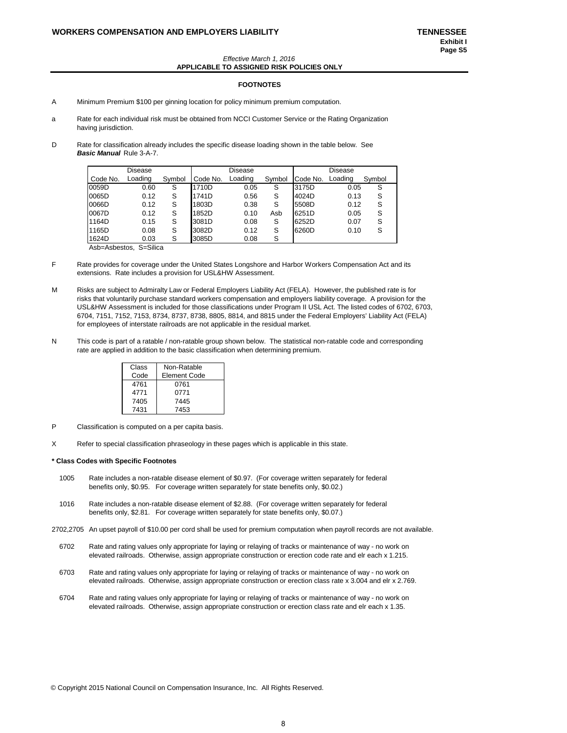#### *Effective March 1, 2016* **APPLICABLE TO ASSIGNED RISK POLICIES ONLY**

#### **FOOTNOTES**

- A Minimum Premium \$100 per ginning location for policy minimum premium computation.
- a Rate for each individual risk must be obtained from NCCI Customer Service or the Rating Organization having jurisdiction.
- D Rate for classification already includes the specific disease loading shown in the table below. See *Basic Manual* Rule 3-A-7.

|          | Disease |        |          | Disease |        |          | Disease |        |
|----------|---------|--------|----------|---------|--------|----------|---------|--------|
| Code No. | Loading | Symbol | Code No. | Loading | Symbol | Code No. | Loading | Symbol |
| 0059D    | 0.60    | S      | 1710D    | 0.05    | S      | 3175D    | 0.05    | S      |
| 0065D    | 0.12    | S      | 1741D    | 0.56    | S      | 4024D    | 0.13    | S      |
| 0066D    | 0.12    | S      | 1803D    | 0.38    | S      | 5508D    | 0.12    | S      |
| 0067D    | 0.12    | S      | 1852D    | 0.10    | Asb    | 6251D    | 0.05    | S      |
| 1164D    | 0.15    | S      | 3081D    | 0.08    | S      | 6252D    | 0.07    | S      |
| 1165D    | 0.08    | S      | 3082D    | 0.12    | S      | 6260D    | 0.10    | S      |
| 1624D    | 0.03    | S      | 3085D    | 0.08    | S      |          |         |        |

Asb=Asbestos, S=Silica

- F Rate provides for coverage under the United States Longshore and Harbor Workers Compensation Act and its extensions. Rate includes a provision for USL&HW Assessment.
- M Risks are subject to Admiralty Law or Federal Employers Liability Act (FELA). However, the published rate is for risks that voluntarily purchase standard workers compensation and employers liability coverage. A provision for the USL&HW Assessment is included for those classifications under Program II USL Act. The listed codes of 6702, 6703, 6704, 7151, 7152, 7153, 8734, 8737, 8738, 8805, 8814, and 8815 under the Federal Employers' Liability Act (FELA) for employees of interstate railroads are not applicable in the residual market.
- N This code is part of a ratable / non-ratable group shown below. The statistical non-ratable code and corresponding rate are applied in addition to the basic classification when determining premium.

| Class | Non-Ratable  |
|-------|--------------|
| Code  | Element Code |
| 4761  | 0761         |
| 4771  | 0771         |
| 7405  | 7445         |
| 7431  | 7453         |

- P Classification is computed on a per capita basis.
- X Refer to special classification phraseology in these pages which is applicable in this state.

#### **\* Class Codes with Specific Footnotes**

- 1005 Rate includes a non-ratable disease element of \$0.97. (For coverage written separately for federal benefits only, \$0.95. For coverage written separately for state benefits only, \$0.02.)
- 1016 Rate includes a non-ratable disease element of \$2.88. (For coverage written separately for federal benefits only, \$2.81. For coverage written separately for state benefits only, \$0.07.)
- 2702,2705 An upset payroll of \$10.00 per cord shall be used for premium computation when payroll records are not available.
- 6702 Rate and rating values only appropriate for laying or relaying of tracks or maintenance of way no work on elevated railroads. Otherwise, assign appropriate construction or erection code rate and elr each x 1.215.
- 6703 Rate and rating values only appropriate for laying or relaying of tracks or maintenance of way no work on elevated railroads. Otherwise, assign appropriate construction or erection class rate x 3.004 and elr x 2.769.
- 6704 Rate and rating values only appropriate for laying or relaying of tracks or maintenance of way no work on elevated railroads. Otherwise, assign appropriate construction or erection class rate and elr each x 1.35.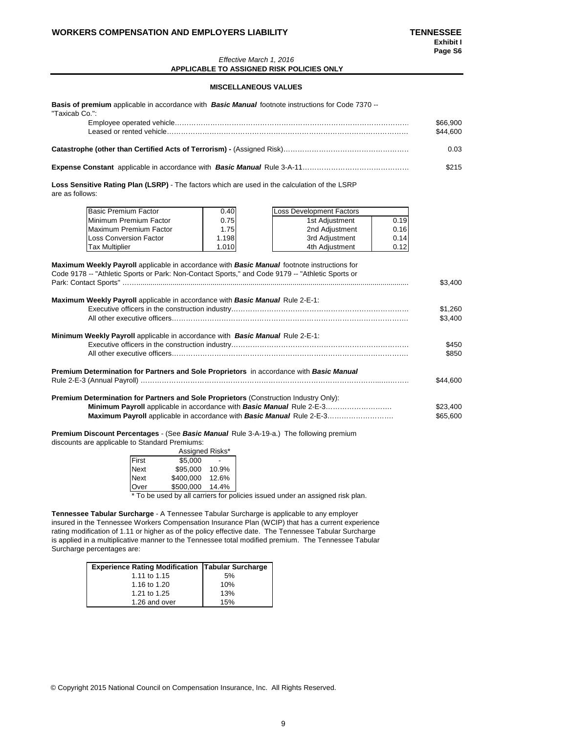### **WORKERS COMPENSATION AND EMPLOYERS LIABILITY TENNESSEE**

#### *Effective March 1, 2016* **APPLICABLE TO ASSIGNED RISK POLICIES ONLY**

## **MISCELLANEOUS VALUES**

| <b>Basis of premium</b> applicable in accordance with <b>Basic Manual</b> footnote instructions for Code 7370 --<br>"Taxicab Co.":                                                                     |       |                                 |      |          |
|--------------------------------------------------------------------------------------------------------------------------------------------------------------------------------------------------------|-------|---------------------------------|------|----------|
|                                                                                                                                                                                                        |       |                                 |      | \$66,900 |
|                                                                                                                                                                                                        |       |                                 |      | \$44,600 |
|                                                                                                                                                                                                        |       |                                 |      | 0.03     |
|                                                                                                                                                                                                        |       |                                 |      | \$215    |
| Loss Sensitive Rating Plan (LSRP) - The factors which are used in the calculation of the LSRP<br>are as follows:                                                                                       |       |                                 |      |          |
| Basic Premium Factor                                                                                                                                                                                   | 0.40  | <b>Loss Development Factors</b> |      |          |
| Minimum Premium Factor                                                                                                                                                                                 | 0.75  | 1st Adjustment                  | 0.19 |          |
| Maximum Premium Factor                                                                                                                                                                                 | 1.75  | 2nd Adjustment                  | 0.16 |          |
| <b>Loss Conversion Factor</b>                                                                                                                                                                          | 1.198 | 3rd Adjustment                  | 0.14 |          |
| <b>Tax Multiplier</b>                                                                                                                                                                                  | 1.010 | 4th Adjustment                  | 0.12 |          |
| Maximum Weekly Payroll applicable in accordance with <b>Basic Manual</b> footnote instructions for<br>Code 9178 -- "Athletic Sports or Park: Non-Contact Sports," and Code 9179 -- "Athletic Sports or |       |                                 |      |          |
|                                                                                                                                                                                                        |       |                                 |      | \$3,400  |
| Maximum Weekly Payroll applicable in accordance with Basic Manual Rule 2-E-1:                                                                                                                          |       |                                 |      |          |
|                                                                                                                                                                                                        |       |                                 |      | \$1,260  |
|                                                                                                                                                                                                        |       |                                 |      | \$3,400  |

| <b>Minimum Weekly Payroll</b> applicable in accordance with <b>Basic Manual</b> Rule 2-E-1:                                                                                                                                                                                | \$450<br>\$850       |
|----------------------------------------------------------------------------------------------------------------------------------------------------------------------------------------------------------------------------------------------------------------------------|----------------------|
| Premium Determination for Partners and Sole Proprietors in accordance with Basic Manual                                                                                                                                                                                    | \$44,600             |
| <b>Premium Determination for Partners and Sole Proprietors (Construction Industry Only):</b><br><b>Minimum Payroll</b> applicable in accordance with <b>Basic Manual</b> Rule 2-E-3<br><b>Maximum Payroll</b> applicable in accordance with <b>Basic Manual</b> Rule 2-E-3 | \$23,400<br>\$65,600 |

**Premium Discount Percentages** - (See *Basic Manual* Rule 3-A-19-a.) The following premium discounts are applicable to Standard Premiums: Assigned Risks\*

|                                     | Assigned Risks* |       |  |  |  |  |  |  |
|-------------------------------------|-----------------|-------|--|--|--|--|--|--|
|                                     | \$5.000         |       |  |  |  |  |  |  |
| First<br>Next<br>Next               | \$95.000        | 10.9% |  |  |  |  |  |  |
|                                     | \$400.000       | 12.6% |  |  |  |  |  |  |
| Over                                | \$500.000       | 14.4% |  |  |  |  |  |  |
| * To be used by all corriers for pr |                 |       |  |  |  |  |  |  |

To be used by all carriers for policies issued under an assigned risk plan.

**Tennessee Tabular Surcharge** - A Tennessee Tabular Surcharge is applicable to any employer insured in the Tennessee Workers Compensation Insurance Plan (WCIP) that has a current experience rating modification of 1.11 or higher as of the policy effective date. The Tennessee Tabular Surcharge is applied in a multiplicative manner to the Tennessee total modified premium. The Tennessee Tabular Surcharge percentages are:

| <b>Experience Rating Modification Tabular Surcharge</b> |     |
|---------------------------------------------------------|-----|
| 1.11 to 1.15                                            | 5%  |
| 1.16 to 1.20                                            | 10% |
| 1.21 to 1.25                                            | 13% |
| 1.26 and over                                           | 15% |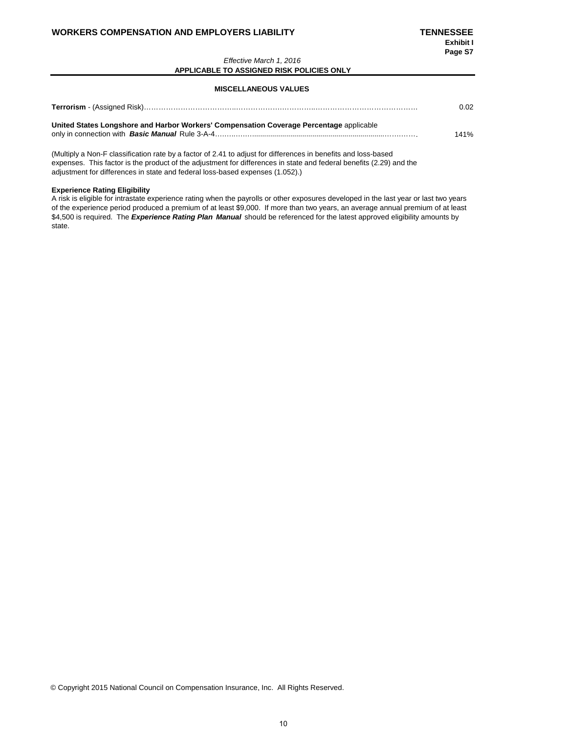### *Effective March 1, 2016* **APPLICABLE TO ASSIGNED RISK POLICIES ONLY**

### **MISCELLANEOUS VALUES**

|                                                                                         | 0.02 |
|-----------------------------------------------------------------------------------------|------|
| United States Longshore and Harbor Workers' Compensation Coverage Percentage applicable | 141% |

(Multiply a Non-F classification rate by a factor of 2.41 to adjust for differences in benefits and loss-based expenses. This factor is the product of the adjustment for differences in state and federal benefits (2.29) and the adjustment for differences in state and federal loss-based expenses (1.052).)

### **Experience Rating Eligibility**

A risk is eligible for intrastate experience rating when the payrolls or other exposures developed in the last year or last two years of the experience period produced a premium of at least \$9,000. If more than two years, an average annual premium of at least \$4,500 is required. The *Experience Rating Plan Manual* should be referenced for the latest approved eligibility amounts by state.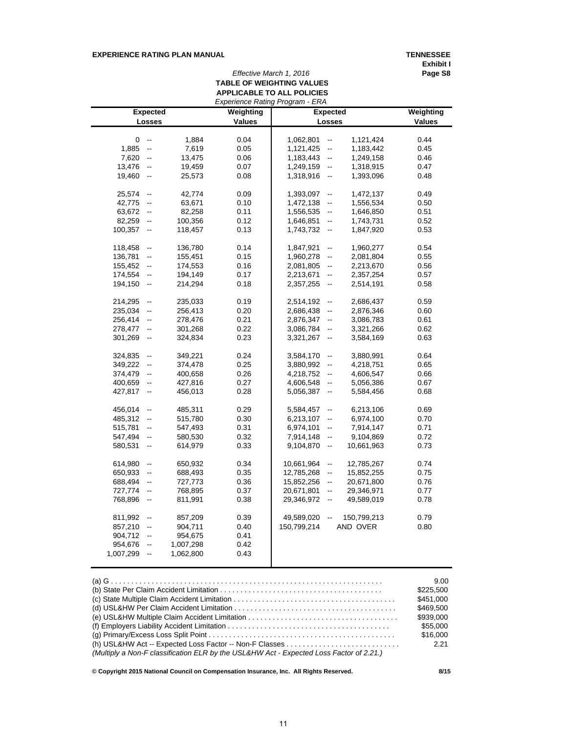## **EXPERIENCE RATING PLAN MANUAL TENNESSEE**

**Exhibit I**

# *Effective March 1, 2016* **TABLE OF WEIGHTING VALUES APPLICABLE TO ALL POLICIES**

|           |                          |           |               | Experience Rating Program - ERA |                          |             |               |
|-----------|--------------------------|-----------|---------------|---------------------------------|--------------------------|-------------|---------------|
|           | <b>Expected</b>          |           | Weighting     | <b>Expected</b>                 |                          |             | Weighting     |
|           | Losses                   |           | <b>Values</b> |                                 | Losses                   |             | <b>Values</b> |
|           |                          |           |               |                                 |                          |             |               |
| 0         | $\overline{\phantom{a}}$ | 1.884     | 0.04          | 1,062,801                       | $\overline{\phantom{a}}$ | 1,121,424   | 0.44          |
| 1,885     | $\overline{\phantom{a}}$ | 7,619     | 0.05          | 1,121,425                       | $\overline{\phantom{a}}$ | 1,183,442   | 0.45          |
| 7,620     | --                       | 13,475    | 0.06          | 1,183,443                       | $\overline{\phantom{a}}$ | 1,249,158   | 0.46          |
| 13,476    | --                       | 19,459    | 0.07          | 1,249,159                       | $\overline{\phantom{a}}$ | 1,318,915   | 0.47          |
| 19,460    | $\overline{\phantom{a}}$ | 25,573    | 0.08          | 1,318,916                       | $\overline{\phantom{a}}$ | 1,393,096   | 0.48          |
| 25,574    | $\overline{\phantom{a}}$ | 42,774    | 0.09          | 1,393,097                       | $\overline{\phantom{a}}$ | 1,472,137   | 0.49          |
| 42,775    | $\overline{\phantom{a}}$ | 63,671    | 0.10          | 1,472,138                       | $\overline{\phantom{a}}$ | 1,556,534   | 0.50          |
| 63,672    | $\overline{\phantom{a}}$ | 82,258    | 0.11          | 1,556,535                       | $\overline{\phantom{a}}$ | 1,646,850   | 0.51          |
| 82,259    | --                       | 100,356   | 0.12          | 1,646,851                       | $\overline{\phantom{a}}$ | 1,743,731   | 0.52          |
|           |                          |           |               |                                 |                          |             |               |
| 100,357   | $\overline{\phantom{a}}$ | 118,457   | 0.13          | 1,743,732                       | $\overline{\phantom{a}}$ | 1,847,920   | 0.53          |
| 118,458   | $\overline{\phantom{a}}$ | 136,780   | 0.14          | 1,847,921                       | $\overline{\phantom{a}}$ | 1,960,277   | 0.54          |
| 136,781   | $\overline{\phantom{a}}$ | 155,451   | 0.15          | 1,960,278                       | --                       | 2,081,804   | 0.55          |
| 155,452   | $\overline{\phantom{a}}$ | 174,553   | 0.16          | 2,081,805                       | --                       | 2,213,670   | 0.56          |
| 174,554   | $\overline{\phantom{a}}$ | 194,149   | 0.17          | 2,213,671                       | $\overline{\phantom{a}}$ | 2,357,254   | 0.57          |
| 194,150   | $\overline{\phantom{a}}$ | 214,294   | 0.18          | 2,357,255                       | $\frac{1}{2}$            | 2,514,191   | 0.58          |
| 214,295   | $\overline{\phantom{a}}$ | 235,033   | 0.19          | 2,514,192                       | --                       | 2,686,437   | 0.59          |
| 235,034   | $\overline{\phantom{a}}$ | 256,413   | 0.20          | 2,686,438                       | $\frac{1}{2}$            | 2,876,346   | 0.60          |
| 256,414   | $\overline{\phantom{a}}$ | 278,476   | 0.21          | 2,876,347                       | --                       | 3,086,783   | 0.61          |
| 278,477   | $\overline{\phantom{a}}$ | 301,268   | 0.22          | 3,086,784                       | --                       | 3,321,266   | 0.62          |
| 301,269   | $\overline{\phantom{a}}$ | 324,834   | 0.23          | 3,321,267                       | $\overline{\phantom{a}}$ | 3,584,169   | 0.63          |
|           |                          |           |               |                                 |                          |             |               |
| 324,835   | $\overline{\phantom{a}}$ | 349,221   | 0.24          | 3,584,170                       | $\frac{1}{2}$            | 3,880,991   | 0.64          |
| 349,222   | --                       | 374,478   | 0.25          | 3,880,992                       | --                       | 4,218,751   | 0.65          |
| 374,479   | $\overline{\phantom{a}}$ | 400,658   | 0.26          | 4,218,752                       | $\overline{\phantom{a}}$ | 4,606,547   | 0.66          |
| 400,659   | $\overline{\phantom{a}}$ | 427,816   | 0.27          | 4,606,548                       | --                       | 5,056,386   | 0.67          |
| 427,817   | $\overline{\phantom{a}}$ | 456,013   | 0.28          | 5,056,387                       | $\frac{1}{2}$            | 5,584,456   | 0.68          |
| 456,014   | $\overline{\phantom{a}}$ | 485,311   | 0.29          | 5,584,457                       | --                       | 6,213,106   | 0.69          |
| 485,312   | $\overline{\phantom{a}}$ | 515,780   | 0.30          | 6,213,107                       | --                       | 6,974,100   | 0.70          |
| 515,781   | $\overline{\phantom{a}}$ | 547,493   | 0.31          | 6,974,101                       | --                       | 7,914,147   | 0.71          |
| 547,494   | $\overline{\phantom{a}}$ | 580,530   | 0.32          | 7,914,148                       | $\overline{\phantom{a}}$ | 9,104,869   | 0.72          |
| 580,531   | $\overline{\phantom{a}}$ | 614,979   | 0.33          | 9,104,870                       | $\overline{\phantom{a}}$ | 10,661,963  | 0.73          |
|           |                          |           |               |                                 |                          |             |               |
| 614,980   | --                       | 650,932   | 0.34          | 10,661,964                      | --                       | 12,785,267  | 0.74          |
| 650,933   | $\overline{\phantom{a}}$ | 688,493   | 0.35          | 12,785,268                      | $\overline{\phantom{a}}$ | 15,852,255  | 0.75          |
| 688,494   | ۰.                       | 727,773   | 0.36          | 15,852,256                      | ⊷                        | 20,671,800  | 0.76          |
| 727,774   | $\overline{\phantom{a}}$ | 768,895   | 0.37          | 20,671,801                      | $\overline{\phantom{a}}$ | 29,346,971  | 0.77          |
| 768,896   | $\overline{\phantom{a}}$ | 811,991   | 0.38          | 29,346,972                      | --                       | 49,589,019  | 0.78          |
| 811,992   | $\overline{\phantom{a}}$ | 857,209   | 0.39          | 49,589,020                      |                          | 150,799,213 | 0.79          |
| 857,210   | $\overline{\phantom{a}}$ | 904,711   | 0.40          | 150,799,214                     |                          | AND OVER    | 0.80          |
| 904,712   | $\overline{\phantom{a}}$ | 954,675   | 0.41          |                                 |                          |             |               |
| 954,676   | $\overline{\phantom{a}}$ | 1,007,298 | 0.42          |                                 |                          |             |               |
|           |                          |           |               |                                 |                          |             |               |
| 1,007,299 | $\overline{\phantom{a}}$ | 1,062,800 | 0.43          |                                 |                          |             |               |

|                                                                                                                               | 9.00      |
|-------------------------------------------------------------------------------------------------------------------------------|-----------|
| (b) State Per Claim Accident Limitation $\ldots \ldots \ldots \ldots \ldots \ldots \ldots \ldots \ldots \ldots \ldots \ldots$ | \$225,500 |
|                                                                                                                               | \$451,000 |
|                                                                                                                               | \$469.500 |
|                                                                                                                               | \$939,000 |
|                                                                                                                               | \$55,000  |
|                                                                                                                               | \$16,000  |
|                                                                                                                               | 2.21      |
| (Multiply a Non-F classification ELR by the USL&HW Act - Expected Loss Factor of 2.21.)                                       |           |